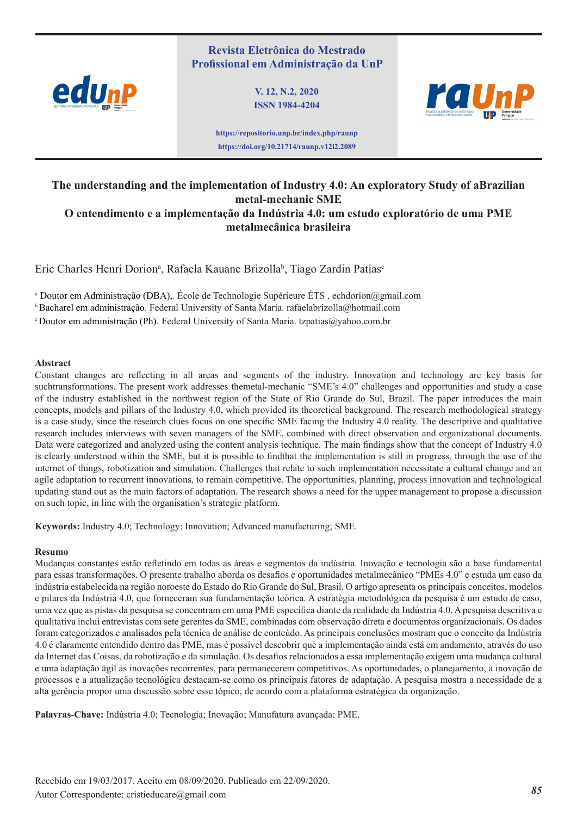# **Revista Eletrônica do Mestrado Profissional em Administração da UnP**



**V. 12, N.2, 2020 ISSN 1984-4204**



**https://repositorio.unp.br/index.php/raunp https://doi.org/10.21714/raunp.v12i2.2089**

# **The understanding and the implementation of Industry 4.0: An exploratory Study of aBrazilian metal-mechanic SME O entendimento e a implementação da Indústria 4.0: um estudo exploratório de uma PME metalmecânica brasileira**

Eric Charles Henri Dorion<sup>a</sup>, Rafaela Kauane Brizolla<sup>b</sup>, Tiago Zardin Patias<sup>c</sup>

<sup>a</sup> Doutor em Administração (DBA),. École de Technologie Supérieure ÉTS . echdorion@gmail.com

b Bacharel em administração. Federal University of Santa Maria. rafaelabrizolla@hotmail.com

c Doutor em administração (Ph). Federal University of Santa Maria. tzpatias@yahoo.com.br

#### **Abstract**

Constant changes are reflecting in all areas and segments of the industry. Innovation and technology are key basis for suchtransformations. The present work addresses themetal-mechanic "SME's 4.0" challenges and opportunities and study a case of the industry established in the northwest region of the State of Rio Grande do Sul, Brazil. The paper introduces the main concepts, models and pillars of the Industry 4.0, which provided its theoretical background. The research methodological strategy is a case study, since the research clues focus on one specific SME facing the Industry 4.0 reality. The descriptive and qualitative research includes interviews with seven managers of the SME, combined with direct observation and organizational documents. Data were categorized and analyzed using the content analysis technique. The main findings show that the concept of Industry 4.0 is clearly understood within the SME, but it is possible to findthat the implementation is still in progress, through the use of the internet of things, robotization and simulation. Challenges that relate to such implementation necessitate a cultural change and an agile adaptation to recurrent innovations, to remain competitive. The opportunities, planning, process innovation and technological updating stand out as the main factors of adaptation. The research shows a need for the upper management to propose a discussion on such topic, in line with the organisation's strategic platform.

**Keywords:** Industry 4.0; Technology; Innovation; Advanced manufacturing; SME.

#### **Resumo**

Mudanças constantes estão refletindo em todas as áreas e segmentos da indústria. Inovação e tecnologia são a base fundamental para essas transformações. O presente trabalho aborda os desafios e oportunidades metalmecânico "PMEs 4.0" e estuda um caso da indústria estabelecida na região noroeste do Estado do Rio Grande do Sul, Brasil. O artigo apresenta os principais conceitos, modelos e pilares da Indústria 4.0, que forneceram sua fundamentação teórica. A estratégia metodológica da pesquisa é um estudo de caso, uma vez que as pistas da pesquisa se concentram em uma PME específica diante da realidade da Indústria 4.0. A pesquisa descritiva e qualitativa inclui entrevistas com sete gerentes da SME, combinadas com observação direta e documentos organizacionais. Os dados foram categorizados e analisados pela técnica de análise de conteúdo. As principais conclusões mostram que o conceito da Indústria 4.0 é claramente entendido dentro das PME, mas é possível descobrir que a implementação ainda está em andamento, através do uso da Internet das Coisas, da robotização e da simulação. Os desafios relacionados a essa implementação exigem uma mudança cultural e uma adaptação ágil às inovações recorrentes, para permanecerem competitivos. As oportunidades, o planejamento, a inovação de processos e a atualização tecnológica destacam-se como os principais fatores de adaptação. A pesquisa mostra a necessidade de a alta gerência propor uma discussão sobre esse tópico, de acordo com a plataforma estratégica da organização.

**Palavras-Chave:** Indústria 4.0; Tecnologia; Inovação; Manufatura avançada; PME.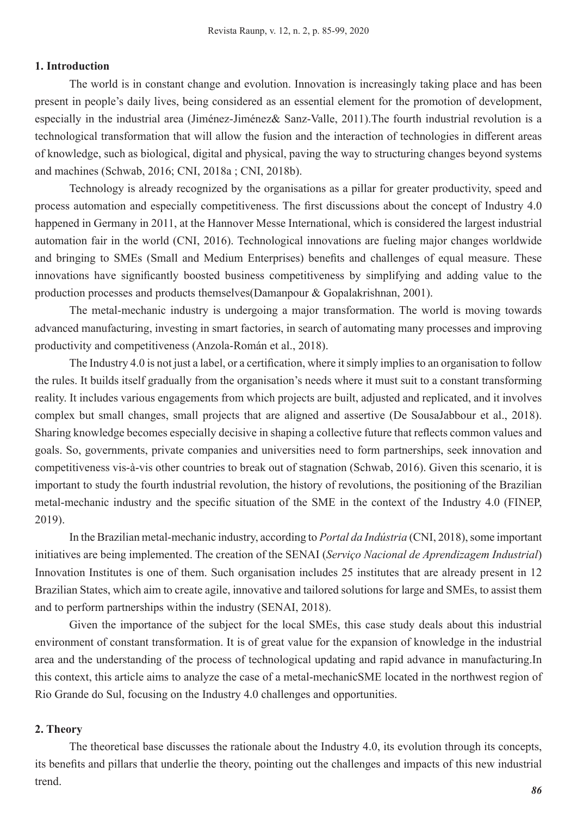# **1. Introduction**

The world is in constant change and evolution. Innovation is increasingly taking place and has been present in people's daily lives, being considered as an essential element for the promotion of development, especially in the industrial area (Jiménez-Jiménez& Sanz-Valle, 2011).The fourth industrial revolution is a technological transformation that will allow the fusion and the interaction of technologies in different areas of knowledge, such as biological, digital and physical, paving the way to structuring changes beyond systems and machines (Schwab, 2016; CNI, 2018a ; CNI, 2018b).

Technology is already recognized by the organisations as a pillar for greater productivity, speed and process automation and especially competitiveness. The first discussions about the concept of Industry 4.0 happened in Germany in 2011, at the Hannover Messe International, which is considered the largest industrial automation fair in the world (CNI, 2016). Technological innovations are fueling major changes worldwide and bringing to SMEs (Small and Medium Enterprises) benefits and challenges of equal measure. These innovations have significantly boosted business competitiveness by simplifying and adding value to the production processes and products themselves(Damanpour & Gopalakrishnan, 2001).

The metal-mechanic industry is undergoing a major transformation. The world is moving towards advanced manufacturing, investing in smart factories, in search of automating many processes and improving productivity and competitiveness (Anzola-Román et al., 2018).

The Industry 4.0 is not just a label, or a certification, where it simply implies to an organisation to follow the rules. It builds itself gradually from the organisation's needs where it must suit to a constant transforming reality. It includes various engagements from which projects are built, adjusted and replicated, and it involves complex but small changes, small projects that are aligned and assertive (De SousaJabbour et al., 2018). Sharing knowledge becomes especially decisive in shaping a collective future that reflects common values and goals. So, governments, private companies and universities need to form partnerships, seek innovation and competitiveness vis-à-vis other countries to break out of stagnation (Schwab, 2016). Given this scenario, it is important to study the fourth industrial revolution, the history of revolutions, the positioning of the Brazilian metal-mechanic industry and the specific situation of the SME in the context of the Industry 4.0 (FINEP, 2019).

In the Brazilian metal-mechanic industry, according to *Portal da Indústria* (CNI, 2018), some important initiatives are being implemented. The creation of the SENAI (*Serviço Nacional de Aprendizagem Industrial*) Innovation Institutes is one of them. Such organisation includes 25 institutes that are already present in 12 Brazilian States, which aim to create agile, innovative and tailored solutions for large and SMEs, to assist them and to perform partnerships within the industry (SENAI, 2018).

Given the importance of the subject for the local SMEs, this case study deals about this industrial environment of constant transformation. It is of great value for the expansion of knowledge in the industrial area and the understanding of the process of technological updating and rapid advance in manufacturing.In this context, this article aims to analyze the case of a metal-mechanicSME located in the northwest region of Rio Grande do Sul, focusing on the Industry 4.0 challenges and opportunities.

# **2. Theory**

The theoretical base discusses the rationale about the Industry 4.0, its evolution through its concepts, its benefits and pillars that underlie the theory, pointing out the challenges and impacts of this new industrial trend.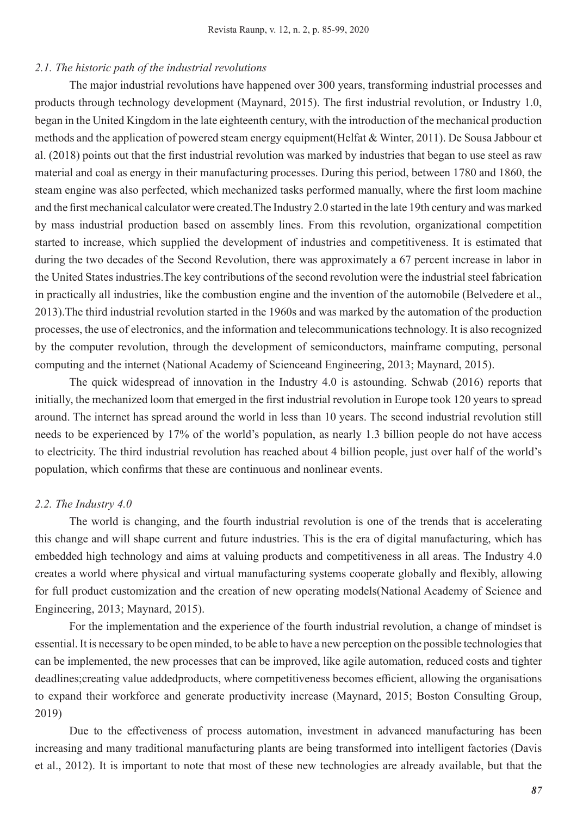# *2.1. The historic path of the industrial revolutions*

The major industrial revolutions have happened over 300 years, transforming industrial processes and products through technology development (Maynard, 2015). The first industrial revolution, or Industry 1.0, began in the United Kingdom in the late eighteenth century, with the introduction of the mechanical production methods and the application of powered steam energy equipment(Helfat & Winter, 2011). De Sousa Jabbour et al. (2018) points out that the first industrial revolution was marked by industries that began to use steel as raw material and coal as energy in their manufacturing processes. During this period, between 1780 and 1860, the steam engine was also perfected, which mechanized tasks performed manually, where the first loom machine and the first mechanical calculator were created.The Industry 2.0 started in the late 19th century and was marked by mass industrial production based on assembly lines. From this revolution, organizational competition started to increase, which supplied the development of industries and competitiveness. It is estimated that during the two decades of the Second Revolution, there was approximately a 67 percent increase in labor in the United States industries.The key contributions of the second revolution were the industrial steel fabrication in practically all industries, like the combustion engine and the invention of the automobile (Belvedere et al., 2013).The third industrial revolution started in the 1960s and was marked by the automation of the production processes, the use of electronics, and the information and telecommunications technology. It is also recognized by the computer revolution, through the development of semiconductors, mainframe computing, personal computing and the internet (National Academy of Scienceand Engineering, 2013; Maynard, 2015).

The quick widespread of innovation in the Industry 4.0 is astounding. Schwab (2016) reports that initially, the mechanized loom that emerged in the first industrial revolution in Europe took 120 years to spread around. The internet has spread around the world in less than 10 years. The second industrial revolution still needs to be experienced by 17% of the world's population, as nearly 1.3 billion people do not have access to electricity. The third industrial revolution has reached about 4 billion people, just over half of the world's population, which confirms that these are continuous and nonlinear events.

## *2.2. The Industry 4.0*

The world is changing, and the fourth industrial revolution is one of the trends that is accelerating this change and will shape current and future industries. This is the era of digital manufacturing, which has embedded high technology and aims at valuing products and competitiveness in all areas. The Industry 4.0 creates a world where physical and virtual manufacturing systems cooperate globally and flexibly, allowing for full product customization and the creation of new operating models(National Academy of Science and Engineering, 2013; Maynard, 2015).

For the implementation and the experience of the fourth industrial revolution, a change of mindset is essential. It is necessary to be open minded, to be able to have a new perception on the possible technologies that can be implemented, the new processes that can be improved, like agile automation, reduced costs and tighter deadlines;creating value addedproducts, where competitiveness becomes efficient, allowing the organisations to expand their workforce and generate productivity increase (Maynard, 2015; Boston Consulting Group, 2019)

Due to the effectiveness of process automation, investment in advanced manufacturing has been increasing and many traditional manufacturing plants are being transformed into intelligent factories (Davis et al., 2012). It is important to note that most of these new technologies are already available, but that the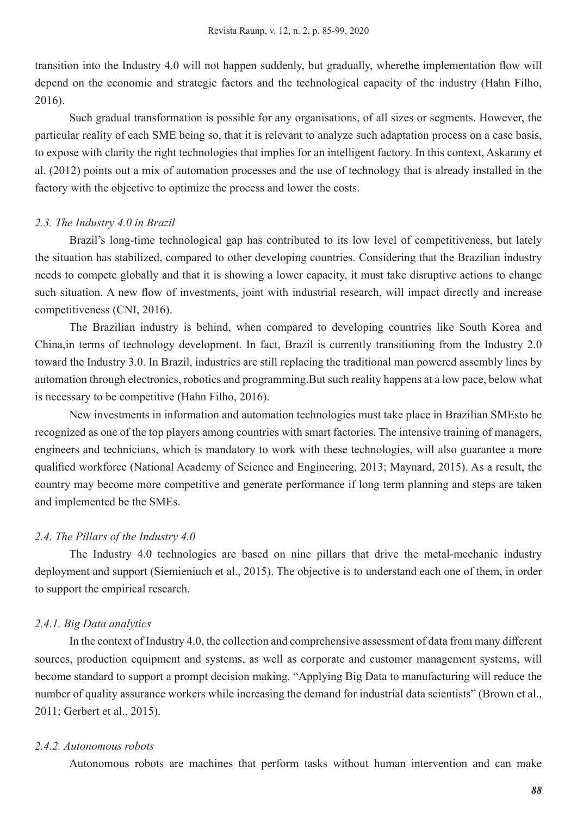transition into the Industry 4.0 will not happen suddenly, but gradually, wherethe implementation flow will depend on the economic and strategic factors and the technological capacity of the industry (Hahn Filho, 2016).

Such gradual transformation is possible for any organisations, of all sizes or segments. However, the particular reality of each SME being so, that it is relevant to analyze such adaptation process on a case basis, to expose with clarity the right technologies that implies for an intelligent factory. In this context, Askarany et al. (2012) points out a mix of automation processes and the use of technology that is already installed in the factory with the objective to optimize the process and lower the costs.

# *2.3. The Industry 4.0 in Brazil*

Brazil's long-time technological gap has contributed to its low level of competitiveness, but lately the situation has stabilized, compared to other developing countries. Considering that the Brazilian industry needs to compete globally and that it is showing a lower capacity, it must take disruptive actions to change such situation. A new flow of investments, joint with industrial research, will impact directly and increase competitiveness (CNI, 2016).

The Brazilian industry is behind, when compared to developing countries like South Korea and China,in terms of technology development. In fact, Brazil is currently transitioning from the Industry 2.0 toward the Industry 3.0. In Brazil, industries are still replacing the traditional man powered assembly lines by automation through electronics, robotics and programming.But such reality happens at a low pace, below what is necessary to be competitive (Hahn Filho, 2016).

New investments in information and automation technologies must take place in Brazilian SMEsto be recognized as one of the top players among countries with smart factories. The intensive training of managers, engineers and technicians, which is mandatory to work with these technologies, will also guarantee a more qualified workforce (National Academy of Science and Engineering, 2013; Maynard, 2015). As a result, the country may become more competitive and generate performance if long term planning and steps are taken and implemented be the SMEs.

## *2.4. The Pillars of the Industry 4.0*

The Industry 4.0 technologies are based on nine pillars that drive the metal-mechanic industry deployment and support (Siemieniuch et al., 2015). The objective is to understand each one of them, in order to support the empirical research.

# *2.4.1. Big Data analytics*

In the context of Industry 4.0, the collection and comprehensive assessment of data from many different sources, production equipment and systems, as well as corporate and customer management systems, will become standard to support a prompt decision making. "Applying Big Data to manufacturing will reduce the number of quality assurance workers while increasing the demand for industrial data scientists" (Brown et al., 2011; Gerbert et al., 2015).

### *2.4.2. Autonomous robots*

Autonomous robots are machines that perform tasks without human intervention and can make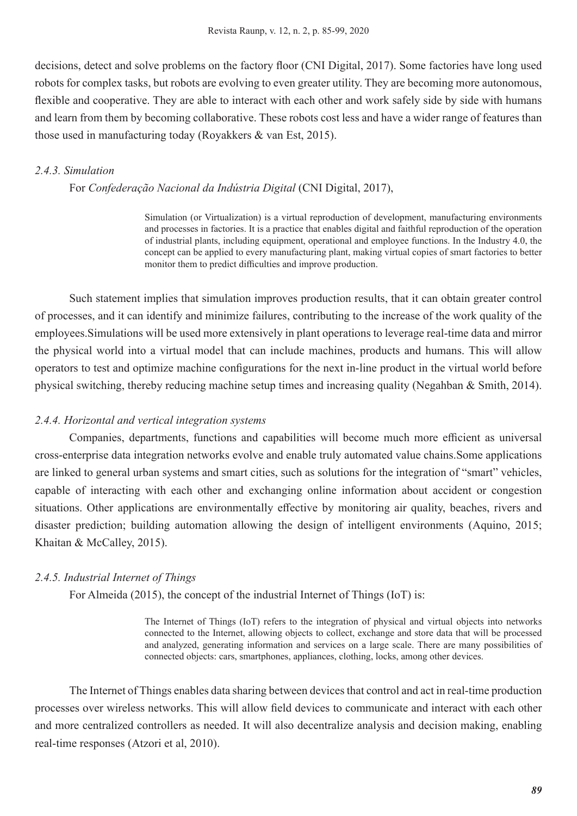decisions, detect and solve problems on the factory floor (CNI Digital, 2017). Some factories have long used robots for complex tasks, but robots are evolving to even greater utility. They are becoming more autonomous, flexible and cooperative. They are able to interact with each other and work safely side by side with humans and learn from them by becoming collaborative. These robots cost less and have a wider range of features than those used in manufacturing today (Royakkers & van Est, 2015).

# *2.4.3. Simulation*

For *Confederação Nacional da Indústria Digital* (CNI Digital, 2017),

Simulation (or Virtualization) is a virtual reproduction of development, manufacturing environments and processes in factories. It is a practice that enables digital and faithful reproduction of the operation of industrial plants, including equipment, operational and employee functions. In the Industry 4.0, the concept can be applied to every manufacturing plant, making virtual copies of smart factories to better monitor them to predict difficulties and improve production.

Such statement implies that simulation improves production results, that it can obtain greater control of processes, and it can identify and minimize failures, contributing to the increase of the work quality of the employees.Simulations will be used more extensively in plant operations to leverage real-time data and mirror the physical world into a virtual model that can include machines, products and humans. This will allow operators to test and optimize machine configurations for the next in-line product in the virtual world before physical switching, thereby reducing machine setup times and increasing quality (Negahban & Smith, 2014).

# *2.4.4. Horizontal and vertical integration systems*

Companies, departments, functions and capabilities will become much more efficient as universal cross-enterprise data integration networks evolve and enable truly automated value chains.Some applications are linked to general urban systems and smart cities, such as solutions for the integration of "smart" vehicles, capable of interacting with each other and exchanging online information about accident or congestion situations. Other applications are environmentally effective by monitoring air quality, beaches, rivers and disaster prediction; building automation allowing the design of intelligent environments (Aquino, 2015; Khaitan & McCalley, 2015).

# *2.4.5. Industrial Internet of Things*

For Almeida (2015), the concept of the industrial Internet of Things (IoT) is:

The Internet of Things (IoT) refers to the integration of physical and virtual objects into networks connected to the Internet, allowing objects to collect, exchange and store data that will be processed and analyzed, generating information and services on a large scale. There are many possibilities of connected objects: cars, smartphones, appliances, clothing, locks, among other devices.

The Internet of Things enables data sharing between devices that control and act in real-time production processes over wireless networks. This will allow field devices to communicate and interact with each other and more centralized controllers as needed. It will also decentralize analysis and decision making, enabling real-time responses (Atzori et al, 2010).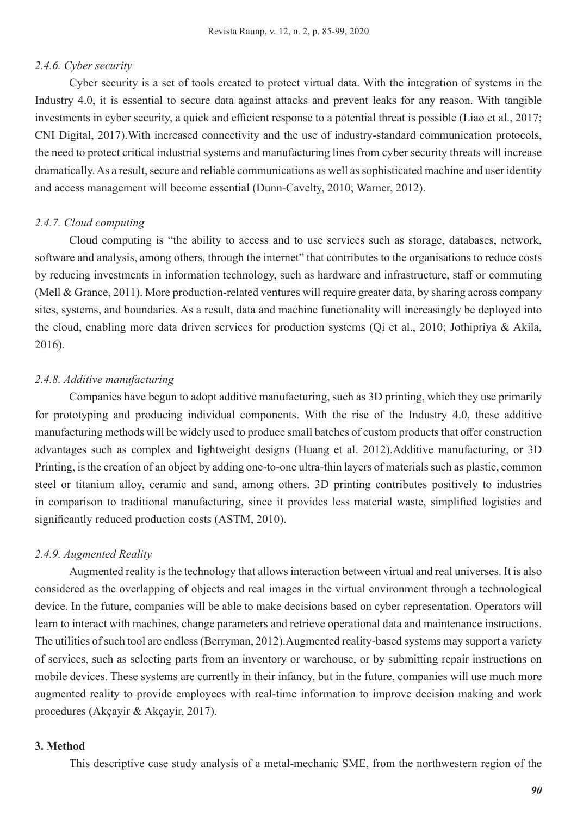# *2.4.6. Cyber security*

Cyber security is a set of tools created to protect virtual data. With the integration of systems in the Industry 4.0, it is essential to secure data against attacks and prevent leaks for any reason. With tangible investments in cyber security, a quick and efficient response to a potential threat is possible (Liao et al., 2017; CNI Digital, 2017).With increased connectivity and the use of industry-standard communication protocols, the need to protect critical industrial systems and manufacturing lines from cyber security threats will increase dramatically. As a result, secure and reliable communications as well as sophisticated machine and user identity and access management will become essential (Dunn-Cavelty, 2010; Warner, 2012).

## *2.4.7. Cloud computing*

Cloud computing is "the ability to access and to use services such as storage, databases, network, software and analysis, among others, through the internet" that contributes to the organisations to reduce costs by reducing investments in information technology, such as hardware and infrastructure, staff or commuting (Mell & Grance, 2011). More production-related ventures will require greater data, by sharing across company sites, systems, and boundaries. As a result, data and machine functionality will increasingly be deployed into the cloud, enabling more data driven services for production systems (Qi et al., 2010; Jothipriya & Akila, 2016).

### *2.4.8. Additive manufacturing*

Companies have begun to adopt additive manufacturing, such as 3D printing, which they use primarily for prototyping and producing individual components. With the rise of the Industry 4.0, these additive manufacturing methods will be widely used to produce small batches of custom products that offer construction advantages such as complex and lightweight designs (Huang et al. 2012).Additive manufacturing, or 3D Printing, is the creation of an object by adding one-to-one ultra-thin layers of materials such as plastic, common steel or titanium alloy, ceramic and sand, among others. 3D printing contributes positively to industries in comparison to traditional manufacturing, since it provides less material waste, simplified logistics and significantly reduced production costs (ASTM, 2010).

#### *2.4.9. Augmented Reality*

Augmented reality is the technology that allows interaction between virtual and real universes. It is also considered as the overlapping of objects and real images in the virtual environment through a technological device. In the future, companies will be able to make decisions based on cyber representation. Operators will learn to interact with machines, change parameters and retrieve operational data and maintenance instructions. The utilities of such tool are endless (Berryman, 2012).Augmented reality-based systems may support a variety of services, such as selecting parts from an inventory or warehouse, or by submitting repair instructions on mobile devices. These systems are currently in their infancy, but in the future, companies will use much more augmented reality to provide employees with real-time information to improve decision making and work procedures (Akçayir & Akçayir, 2017).

#### **3. Method**

This descriptive case study analysis of a metal-mechanic SME, from the northwestern region of the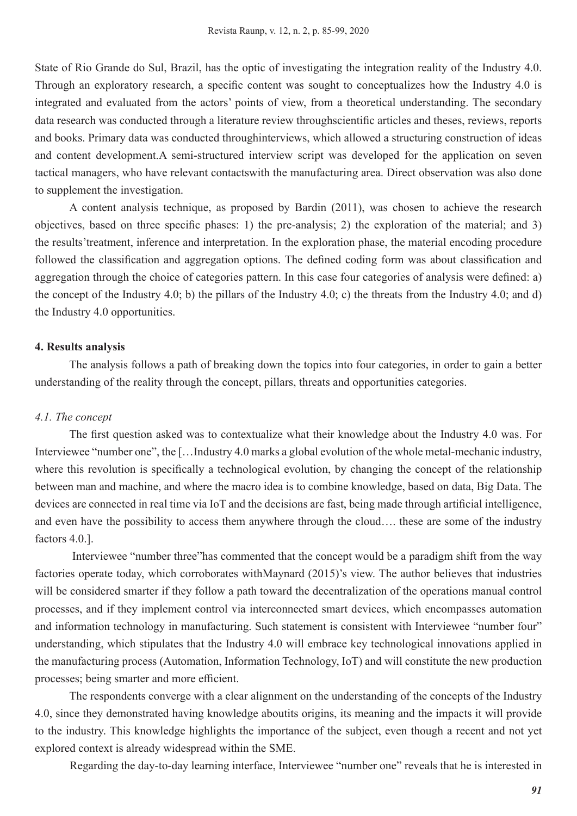State of Rio Grande do Sul, Brazil, has the optic of investigating the integration reality of the Industry 4.0. Through an exploratory research, a specific content was sought to conceptualizes how the Industry 4.0 is integrated and evaluated from the actors' points of view, from a theoretical understanding. The secondary data research was conducted through a literature review throughscientific articles and theses, reviews, reports and books. Primary data was conducted throughinterviews, which allowed a structuring construction of ideas and content development.A semi-structured interview script was developed for the application on seven tactical managers, who have relevant contactswith the manufacturing area. Direct observation was also done to supplement the investigation.

A content analysis technique, as proposed by Bardin (2011), was chosen to achieve the research objectives, based on three specific phases: 1) the pre-analysis; 2) the exploration of the material; and 3) the results'treatment, inference and interpretation. In the exploration phase, the material encoding procedure followed the classification and aggregation options. The defined coding form was about classification and aggregation through the choice of categories pattern. In this case four categories of analysis were defined: a) the concept of the Industry 4.0; b) the pillars of the Industry 4.0; c) the threats from the Industry 4.0; and d) the Industry 4.0 opportunities.

### **4. Results analysis**

The analysis follows a path of breaking down the topics into four categories, in order to gain a better understanding of the reality through the concept, pillars, threats and opportunities categories.

#### *4.1. The concept*

The first question asked was to contextualize what their knowledge about the Industry 4.0 was. For Interviewee "number one", the […Industry 4.0 marks a global evolution of the whole metal-mechanic industry, where this revolution is specifically a technological evolution, by changing the concept of the relationship between man and machine, and where the macro idea is to combine knowledge, based on data, Big Data. The devices are connected in real time via IoT and the decisions are fast, being made through artificial intelligence, and even have the possibility to access them anywhere through the cloud…. these are some of the industry factors 4.0.].

 Interviewee "number three"has commented that the concept would be a paradigm shift from the way factories operate today, which corroborates withMaynard (2015)'s view. The author believes that industries will be considered smarter if they follow a path toward the decentralization of the operations manual control processes, and if they implement control via interconnected smart devices, which encompasses automation and information technology in manufacturing. Such statement is consistent with Interviewee "number four" understanding, which stipulates that the Industry 4.0 will embrace key technological innovations applied in the manufacturing process (Automation, Information Technology, IoT) and will constitute the new production processes; being smarter and more efficient.

The respondents converge with a clear alignment on the understanding of the concepts of the Industry 4.0, since they demonstrated having knowledge aboutits origins, its meaning and the impacts it will provide to the industry. This knowledge highlights the importance of the subject, even though a recent and not yet explored context is already widespread within the SME.

Regarding the day-to-day learning interface, Interviewee "number one" reveals that he is interested in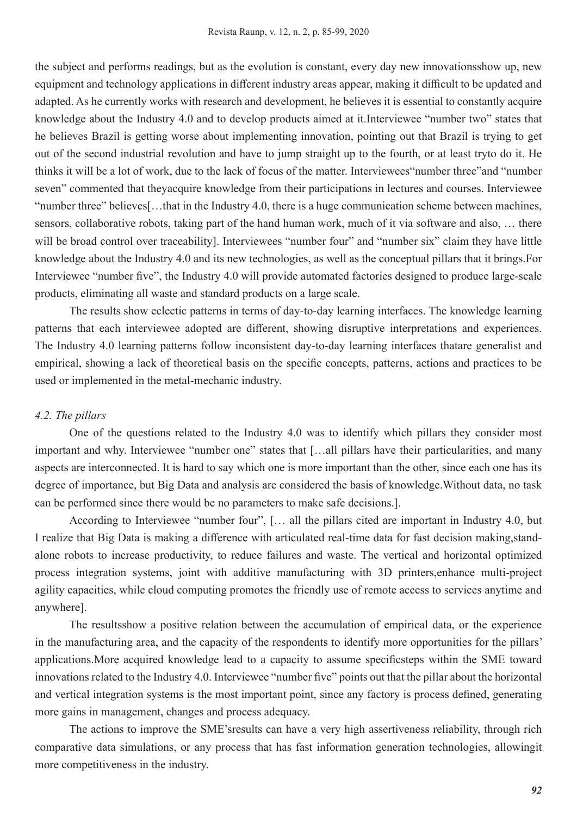the subject and performs readings, but as the evolution is constant, every day new innovationsshow up, new equipment and technology applications in different industry areas appear, making it difficult to be updated and adapted. As he currently works with research and development, he believes it is essential to constantly acquire knowledge about the Industry 4.0 and to develop products aimed at it.Interviewee "number two" states that he believes Brazil is getting worse about implementing innovation, pointing out that Brazil is trying to get out of the second industrial revolution and have to jump straight up to the fourth, or at least tryto do it. He thinks it will be a lot of work, due to the lack of focus of the matter. Interviewees"number three"and "number seven" commented that theyacquire knowledge from their participations in lectures and courses. Interviewee "number three" believes[…that in the Industry 4.0, there is a huge communication scheme between machines, sensors, collaborative robots, taking part of the hand human work, much of it via software and also, … there will be broad control over traceability]. Interviewees "number four" and "number six" claim they have little knowledge about the Industry 4.0 and its new technologies, as well as the conceptual pillars that it brings.For Interviewee "number five", the Industry 4.0 will provide automated factories designed to produce large-scale products, eliminating all waste and standard products on a large scale.

The results show eclectic patterns in terms of day-to-day learning interfaces. The knowledge learning patterns that each interviewee adopted are different, showing disruptive interpretations and experiences. The Industry 4.0 learning patterns follow inconsistent day-to-day learning interfaces thatare generalist and empirical, showing a lack of theoretical basis on the specific concepts, patterns, actions and practices to be used or implemented in the metal-mechanic industry.

#### *4.2. The pillars*

One of the questions related to the Industry 4.0 was to identify which pillars they consider most important and why. Interviewee "number one" states that [...all pillars have their particularities, and many aspects are interconnected. It is hard to say which one is more important than the other, since each one has its degree of importance, but Big Data and analysis are considered the basis of knowledge.Without data, no task can be performed since there would be no parameters to make safe decisions.].

According to Interviewee "number four", [… all the pillars cited are important in Industry 4.0, but I realize that Big Data is making a difference with articulated real-time data for fast decision making,standalone robots to increase productivity, to reduce failures and waste. The vertical and horizontal optimized process integration systems, joint with additive manufacturing with 3D printers,enhance multi-project agility capacities, while cloud computing promotes the friendly use of remote access to services anytime and anywhere].

The resultsshow a positive relation between the accumulation of empirical data, or the experience in the manufacturing area, and the capacity of the respondents to identify more opportunities for the pillars' applications.More acquired knowledge lead to a capacity to assume specificsteps within the SME toward innovations related to the Industry 4.0. Interviewee "number five" points out that the pillar about the horizontal and vertical integration systems is the most important point, since any factory is process defined, generating more gains in management, changes and process adequacy.

The actions to improve the SME'sresults can have a very high assertiveness reliability, through rich comparative data simulations, or any process that has fast information generation technologies, allowingit more competitiveness in the industry.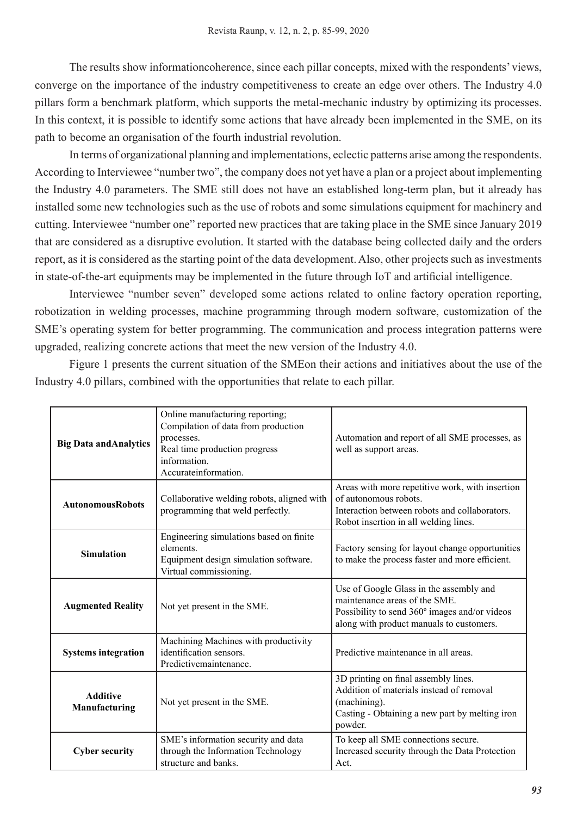The results show informationcoherence, since each pillar concepts, mixed with the respondents' views, converge on the importance of the industry competitiveness to create an edge over others. The Industry 4.0 pillars form a benchmark platform, which supports the metal-mechanic industry by optimizing its processes. In this context, it is possible to identify some actions that have already been implemented in the SME, on its path to become an organisation of the fourth industrial revolution.

In terms of organizational planning and implementations, eclectic patterns arise among the respondents. According to Interviewee "number two", the company does not yet have a plan or a project about implementing the Industry 4.0 parameters. The SME still does not have an established long-term plan, but it already has installed some new technologies such as the use of robots and some simulations equipment for machinery and cutting. Interviewee "number one" reported new practices that are taking place in the SME since January 2019 that are considered as a disruptive evolution. It started with the database being collected daily and the orders report, as it is considered as the starting point of the data development. Also, other projects such as investments in state-of-the-art equipments may be implemented in the future through IoT and artificial intelligence.

Interviewee "number seven" developed some actions related to online factory operation reporting, robotization in welding processes, machine programming through modern software, customization of the SME's operating system for better programming. The communication and process integration patterns were upgraded, realizing concrete actions that meet the new version of the Industry 4.0.

Figure 1 presents the current situation of the SMEon their actions and initiatives about the use of the Industry 4.0 pillars, combined with the opportunities that relate to each pillar.

| <b>Big Data and Analytics</b>    | Online manufacturing reporting;<br>Compilation of data from production<br>processes.<br>Real time production progress<br>information.<br>Accurateinformation. | Automation and report of all SME processes, as<br>well as support areas.                                                                                              |
|----------------------------------|---------------------------------------------------------------------------------------------------------------------------------------------------------------|-----------------------------------------------------------------------------------------------------------------------------------------------------------------------|
| <b>AutonomousRobots</b>          | Collaborative welding robots, aligned with<br>programming that weld perfectly.                                                                                | Areas with more repetitive work, with insertion<br>of autonomous robots.<br>Interaction between robots and collaborators.<br>Robot insertion in all welding lines.    |
| <b>Simulation</b>                | Engineering simulations based on finite<br>elements.<br>Equipment design simulation software.<br>Virtual commissioning.                                       | Factory sensing for layout change opportunities<br>to make the process faster and more efficient.                                                                     |
| <b>Augmented Reality</b>         | Not yet present in the SME.                                                                                                                                   | Use of Google Glass in the assembly and<br>maintenance areas of the SME.<br>Possibility to send 360° images and/or videos<br>along with product manuals to customers. |
| <b>Systems integration</b>       | Machining Machines with productivity<br>identification sensors.<br>Predictivemaintenance.                                                                     | Predictive maintenance in all areas.                                                                                                                                  |
| <b>Additive</b><br>Manufacturing | Not yet present in the SME.                                                                                                                                   | 3D printing on final assembly lines.<br>Addition of materials instead of removal<br>(machining).<br>Casting - Obtaining a new part by melting iron<br>powder.         |
| <b>Cyber security</b>            | SME's information security and data<br>through the Information Technology<br>structure and banks.                                                             | To keep all SME connections secure.<br>Increased security through the Data Protection<br>Act.                                                                         |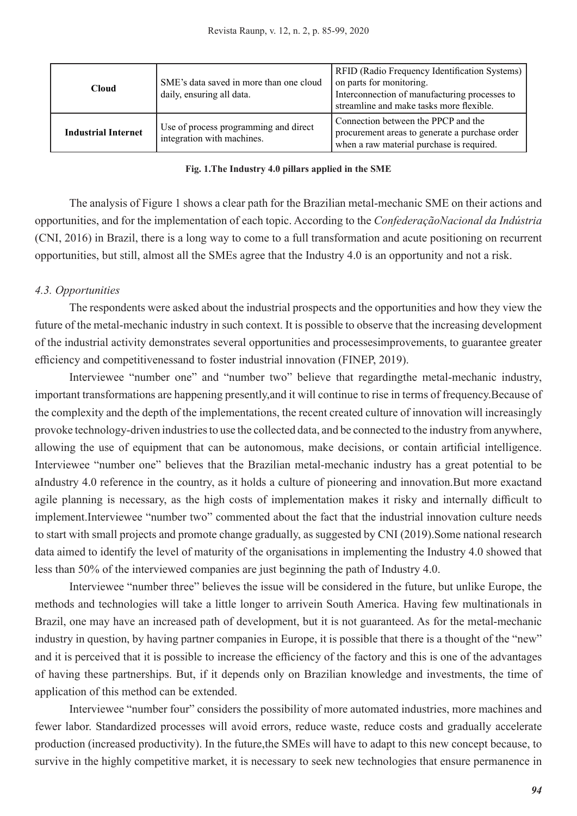| <b>Cloud</b>               | SME's data saved in more than one cloud<br>daily, ensuring all data. | <b>RFID</b> (Radio Frequency Identification Systems)<br>on parts for monitoring.<br>Interconnection of manufacturing processes to<br>streamline and make tasks more flexible. |
|----------------------------|----------------------------------------------------------------------|-------------------------------------------------------------------------------------------------------------------------------------------------------------------------------|
| <b>Industrial Internet</b> | Use of process programming and direct<br>integration with machines.  | Connection between the PPCP and the<br>procurement areas to generate a purchase order<br>when a raw material purchase is required.                                            |

#### **Fig. 1.The Industry 4.0 pillars applied in the SME**

The analysis of Figure 1 shows a clear path for the Brazilian metal-mechanic SME on their actions and opportunities, and for the implementation of each topic. According to the *ConfederaçãoNacional da Indústria* (CNI, 2016) in Brazil, there is a long way to come to a full transformation and acute positioning on recurrent opportunities, but still, almost all the SMEs agree that the Industry 4.0 is an opportunity and not a risk.

# *4.3. Opportunities*

The respondents were asked about the industrial prospects and the opportunities and how they view the future of the metal-mechanic industry in such context. It is possible to observe that the increasing development of the industrial activity demonstrates several opportunities and processesimprovements, to guarantee greater efficiency and competitivenessand to foster industrial innovation (FINEP, 2019).

Interviewee "number one" and "number two" believe that regardingthe metal-mechanic industry, important transformations are happening presently,and it will continue to rise in terms of frequency.Because of the complexity and the depth of the implementations, the recent created culture of innovation will increasingly provoke technology-driven industries to use the collected data, and be connected to the industry from anywhere, allowing the use of equipment that can be autonomous, make decisions, or contain artificial intelligence. Interviewee "number one" believes that the Brazilian metal-mechanic industry has a great potential to be aIndustry 4.0 reference in the country, as it holds a culture of pioneering and innovation.But more exactand agile planning is necessary, as the high costs of implementation makes it risky and internally difficult to implement.Interviewee "number two" commented about the fact that the industrial innovation culture needs to start with small projects and promote change gradually, as suggested by CNI (2019).Some national research data aimed to identify the level of maturity of the organisations in implementing the Industry 4.0 showed that less than 50% of the interviewed companies are just beginning the path of Industry 4.0.

Interviewee "number three" believes the issue will be considered in the future, but unlike Europe, the methods and technologies will take a little longer to arrivein South America. Having few multinationals in Brazil, one may have an increased path of development, but it is not guaranteed. As for the metal-mechanic industry in question, by having partner companies in Europe, it is possible that there is a thought of the "new" and it is perceived that it is possible to increase the efficiency of the factory and this is one of the advantages of having these partnerships. But, if it depends only on Brazilian knowledge and investments, the time of application of this method can be extended.

Interviewee "number four" considers the possibility of more automated industries, more machines and fewer labor. Standardized processes will avoid errors, reduce waste, reduce costs and gradually accelerate production (increased productivity). In the future,the SMEs will have to adapt to this new concept because, to survive in the highly competitive market, it is necessary to seek new technologies that ensure permanence in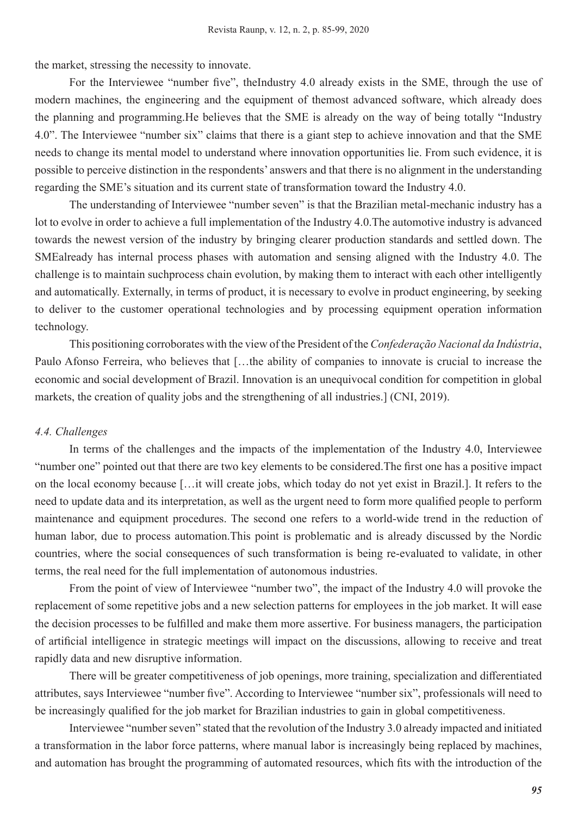the market, stressing the necessity to innovate.

For the Interviewee "number five", theIndustry 4.0 already exists in the SME, through the use of modern machines, the engineering and the equipment of themost advanced software, which already does the planning and programming.He believes that the SME is already on the way of being totally "Industry 4.0". The Interviewee "number six" claims that there is a giant step to achieve innovation and that the SME needs to change its mental model to understand where innovation opportunities lie. From such evidence, it is possible to perceive distinction in the respondents' answers and that there is no alignment in the understanding regarding the SME's situation and its current state of transformation toward the Industry 4.0.

The understanding of Interviewee "number seven" is that the Brazilian metal-mechanic industry has a lot to evolve in order to achieve a full implementation of the Industry 4.0.The automotive industry is advanced towards the newest version of the industry by bringing clearer production standards and settled down. The SMEalready has internal process phases with automation and sensing aligned with the Industry 4.0. The challenge is to maintain suchprocess chain evolution, by making them to interact with each other intelligently and automatically. Externally, in terms of product, it is necessary to evolve in product engineering, by seeking to deliver to the customer operational technologies and by processing equipment operation information technology.

This positioning corroborates with the view of the President of the *Confederação Nacional da Indústria*, Paulo Afonso Ferreira, who believes that […the ability of companies to innovate is crucial to increase the economic and social development of Brazil. Innovation is an unequivocal condition for competition in global markets, the creation of quality jobs and the strengthening of all industries.] (CNI, 2019).

# *4.4. Challenges*

In terms of the challenges and the impacts of the implementation of the Industry 4.0, Interviewee "number one" pointed out that there are two key elements to be considered.The first one has a positive impact on the local economy because […it will create jobs, which today do not yet exist in Brazil.]. It refers to the need to update data and its interpretation, as well as the urgent need to form more qualified people to perform maintenance and equipment procedures. The second one refers to a world-wide trend in the reduction of human labor, due to process automation.This point is problematic and is already discussed by the Nordic countries, where the social consequences of such transformation is being re-evaluated to validate, in other terms, the real need for the full implementation of autonomous industries.

From the point of view of Interviewee "number two", the impact of the Industry 4.0 will provoke the replacement of some repetitive jobs and a new selection patterns for employees in the job market. It will ease the decision processes to be fulfilled and make them more assertive. For business managers, the participation of artificial intelligence in strategic meetings will impact on the discussions, allowing to receive and treat rapidly data and new disruptive information.

There will be greater competitiveness of job openings, more training, specialization and differentiated attributes, says Interviewee "number five". According to Interviewee "number six", professionals will need to be increasingly qualified for the job market for Brazilian industries to gain in global competitiveness.

Interviewee "number seven" stated that the revolution of the Industry 3.0 already impacted and initiated a transformation in the labor force patterns, where manual labor is increasingly being replaced by machines, and automation has brought the programming of automated resources, which fits with the introduction of the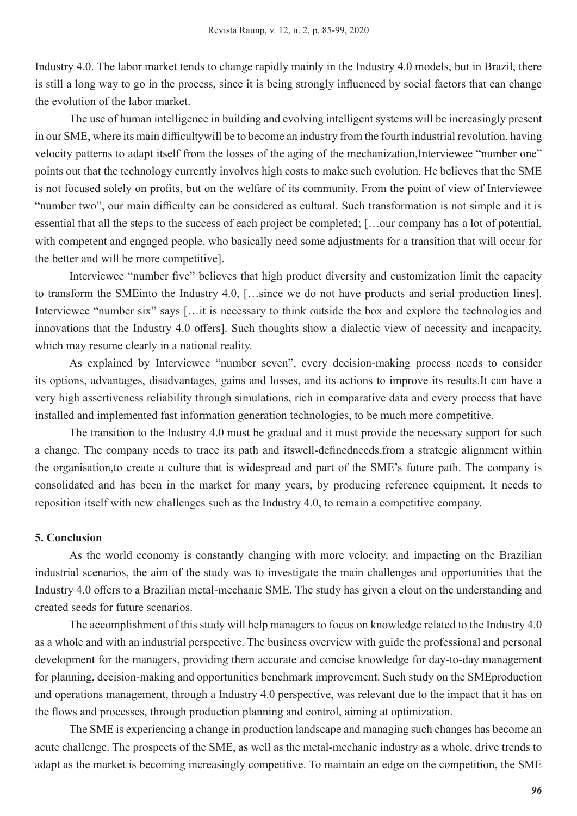Industry 4.0. The labor market tends to change rapidly mainly in the Industry 4.0 models, but in Brazil, there is still a long way to go in the process, since it is being strongly influenced by social factors that can change the evolution of the labor market.

The use of human intelligence in building and evolving intelligent systems will be increasingly present in our SME, where its main difficultywill be to become an industry from the fourth industrial revolution, having velocity patterns to adapt itself from the losses of the aging of the mechanization,Interviewee "number one" points out that the technology currently involves high costs to make such evolution. He believes that the SME is not focused solely on profits, but on the welfare of its community. From the point of view of Interviewee "number two", our main difficulty can be considered as cultural. Such transformation is not simple and it is essential that all the steps to the success of each project be completed; […our company has a lot of potential, with competent and engaged people, who basically need some adjustments for a transition that will occur for the better and will be more competitive].

Interviewee "number five" believes that high product diversity and customization limit the capacity to transform the SMEinto the Industry 4.0, […since we do not have products and serial production lines]. Interviewee "number six" says [...it is necessary to think outside the box and explore the technologies and innovations that the Industry 4.0 offers]. Such thoughts show a dialectic view of necessity and incapacity, which may resume clearly in a national reality.

As explained by Interviewee "number seven", every decision-making process needs to consider its options, advantages, disadvantages, gains and losses, and its actions to improve its results.It can have a very high assertiveness reliability through simulations, rich in comparative data and every process that have installed and implemented fast information generation technologies, to be much more competitive.

The transition to the Industry 4.0 must be gradual and it must provide the necessary support for such a change. The company needs to trace its path and itswell-definedneeds,from a strategic alignment within the organisation,to create a culture that is widespread and part of the SME's future path. The company is consolidated and has been in the market for many years, by producing reference equipment. It needs to reposition itself with new challenges such as the Industry 4.0, to remain a competitive company.

# **5. Conclusion**

As the world economy is constantly changing with more velocity, and impacting on the Brazilian industrial scenarios, the aim of the study was to investigate the main challenges and opportunities that the Industry 4.0 offers to a Brazilian metal-mechanic SME. The study has given a clout on the understanding and created seeds for future scenarios.

The accomplishment of this study will help managers to focus on knowledge related to the Industry 4.0 as a whole and with an industrial perspective. The business overview with guide the professional and personal development for the managers, providing them accurate and concise knowledge for day-to-day management for planning, decision-making and opportunities benchmark improvement. Such study on the SMEproduction and operations management, through a Industry 4.0 perspective, was relevant due to the impact that it has on the flows and processes, through production planning and control, aiming at optimization.

The SME is experiencing a change in production landscape and managing such changes has become an acute challenge. The prospects of the SME, as well as the metal-mechanic industry as a whole, drive trends to adapt as the market is becoming increasingly competitive. To maintain an edge on the competition, the SME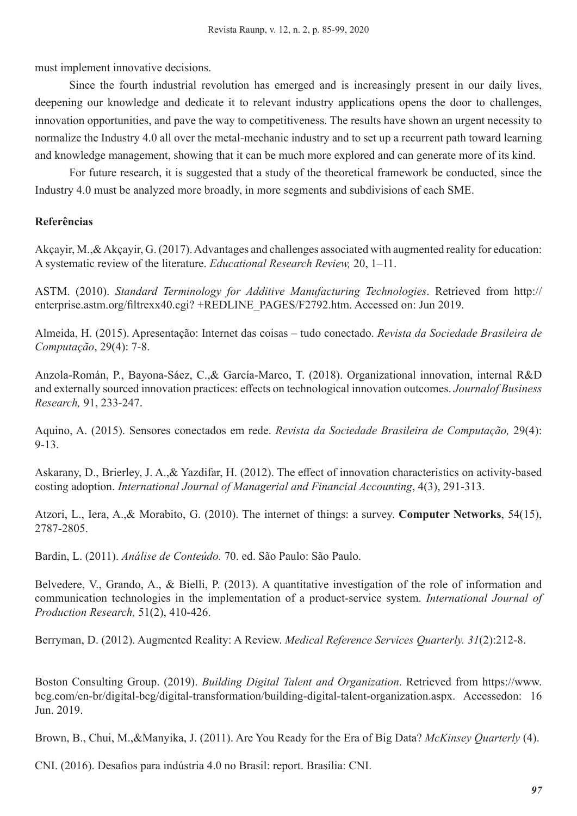must implement innovative decisions.

Since the fourth industrial revolution has emerged and is increasingly present in our daily lives, deepening our knowledge and dedicate it to relevant industry applications opens the door to challenges, innovation opportunities, and pave the way to competitiveness. The results have shown an urgent necessity to normalize the Industry 4.0 all over the metal-mechanic industry and to set up a recurrent path toward learning and knowledge management, showing that it can be much more explored and can generate more of its kind.

For future research, it is suggested that a study of the theoretical framework be conducted, since the Industry 4.0 must be analyzed more broadly, in more segments and subdivisions of each SME.

# **Referências**

Akçayir, M.,& Akçayir, G. (2017). Advantages and challenges associated with augmented reality for education: A systematic review of the literature. *Educational Research Review,* 20, 1–11.

ASTM. (2010). *Standard Terminology for Additive Manufacturing Technologies*. Retrieved from http:// enterprise.astm.org/filtrexx40.cgi? +REDLINE\_PAGES/F2792.htm. Accessed on: Jun 2019.

Almeida, H. (2015). Apresentação: Internet das coisas – tudo conectado. *Revista da Sociedade Brasileira de Computação*, 29(4): 7-8.

Anzola-Román, P., Bayona-Sáez, C.,& García-Marco, T. (2018). Organizational innovation, internal R&D and externally sourced innovation practices: effects on technological innovation outcomes. *Journalof Business Research,* 91, 233-247.

Aquino, A. (2015). Sensores conectados em rede. *Revista da Sociedade Brasileira de Computação,* 29(4): 9-13.

Askarany, D., Brierley, J. A.,& Yazdifar, H. (2012). The effect of innovation characteristics on activity-based costing adoption. *International Journal of Managerial and Financial Accounting*, 4(3), 291-313.

Atzori, L., Iera, A.,& Morabito, G. (2010). The internet of things: a survey. **Computer Networks**, 54(15), 2787-2805.

Bardin, L. (2011). *Análise de Conteúdo.* 70. ed. São Paulo: São Paulo.

Belvedere, V., Grando, A., & Bielli, P. (2013). A quantitative investigation of the role of information and communication technologies in the implementation of a product-service system. *International Journal of Production Research,* 51(2), 410-426.

Berryman, D. (2012). Augmented Reality: A Review. *Medical Reference Services Quarterly. 31*(2):212-8.

Boston Consulting Group. (2019). *Building Digital Talent and Organization*. Retrieved from https://www. bcg.com/en-br/digital-bcg/digital-transformation/building-digital-talent-organization.aspx. Accessedon: 16 Jun. 2019.

Brown, B., Chui, M.,&Manyika, J. (2011). Are You Ready for the Era of Big Data? *McKinsey Quarterly* (4).

CNI. (2016). Desafios para indústria 4.0 no Brasil: report. Brasília: CNI.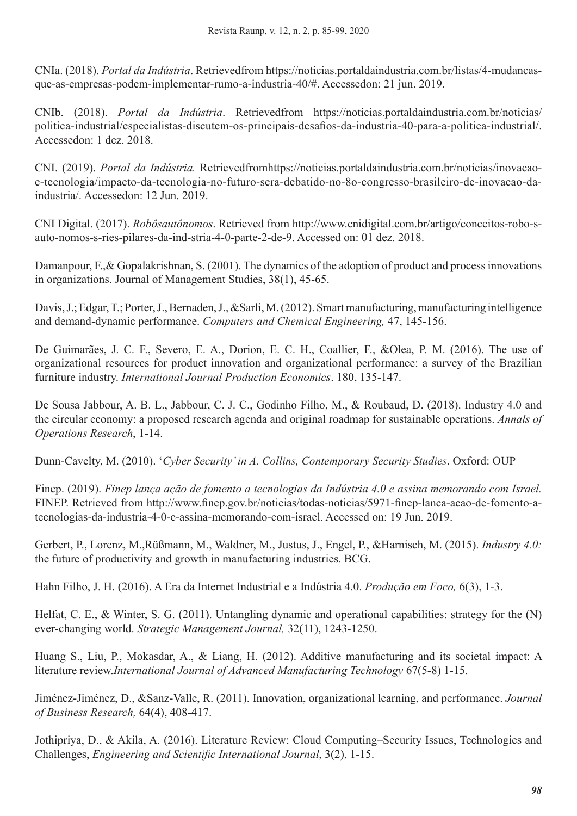CNIa. (2018). *Portal da Indústria*. Retrievedfrom https://noticias.portaldaindustria.com.br/listas/4-mudancasque-as-empresas-podem-implementar-rumo-a-industria-40/#. Accessedon: 21 jun. 2019.

CNIb. (2018). *Portal da Indústria*. Retrievedfrom https://noticias.portaldaindustria.com.br/noticias/ politica-industrial/especialistas-discutem-os-principais-desafios-da-industria-40-para-a-politica-industrial/. Accessedon: 1 dez. 2018.

CNI. (2019). *Portal da Indústria.* Retrievedfromhttps://noticias.portaldaindustria.com.br/noticias/inovacaoe-tecnologia/impacto-da-tecnologia-no-futuro-sera-debatido-no-8o-congresso-brasileiro-de-inovacao-daindustria/. Accessedon: 12 Jun. 2019.

CNI Digital. (2017). *Robôsautônomos*. Retrieved from http://www.cnidigital.com.br/artigo/conceitos-robo-sauto-nomos-s-ries-pilares-da-ind-stria-4-0-parte-2-de-9. Accessed on: 01 dez. 2018.

Damanpour, F.,& Gopalakrishnan, S. (2001). The dynamics of the adoption of product and process innovations in organizations. Journal of Management Studies, 38(1), 45-65.

Davis, J.; Edgar, T.; Porter, J., Bernaden, J., &Sarli, M. (2012). Smart manufacturing, manufacturing intelligence and demand-dynamic performance. *Computers and Chemical Engineering,* 47, 145-156.

De Guimarães, J. C. F., Severo, E. A., Dorion, E. C. H., Coallier, F., &Olea, P. M. (2016). The use of organizational resources for product innovation and organizational performance: a survey of the Brazilian furniture industry. *International Journal Production Economics*. 180, 135-147.

De Sousa Jabbour, A. B. L., Jabbour, C. J. C., Godinho Filho, M., & Roubaud, D. (2018). Industry 4.0 and the circular economy: a proposed research agenda and original roadmap for sustainable operations. *Annals of Operations Research*, 1-14.

Dunn-Cavelty, M. (2010). '*Cyber Security' in A. Collins, Contemporary Security Studies*. Oxford: OUP

Finep. (2019). *Finep lança ação de fomento a tecnologias da Indústria 4.0 e assina memorando com Israel.* FINEP. Retrieved from http://www.finep.gov.br/noticias/todas-noticias/5971-finep-lanca-acao-de-fomento-atecnologias-da-industria-4-0-e-assina-memorando-com-israel. Accessed on: 19 Jun. 2019.

Gerbert, P., Lorenz, M.,Rüßmann, M., Waldner, M., Justus, J., Engel, P., &Harnisch, M. (2015). *Industry 4.0:* the future of productivity and growth in manufacturing industries. BCG.

Hahn Filho, J. H. (2016). A Era da Internet Industrial e a Indústria 4.0. *Produção em Foco,* 6(3), 1-3.

Helfat, C. E., & Winter, S. G. (2011). Untangling dynamic and operational capabilities: strategy for the (N) ever‐changing world. *Strategic Management Journal,* 32(11), 1243-1250.

Huang S., Liu, P., Mokasdar, A., & Liang, H. (2012). Additive manufacturing and its societal impact: A literature review.*International Journal of Advanced Manufacturing Technology* 67(5-8) 1-15.

Jiménez-Jiménez, D., &Sanz-Valle, R. (2011). Innovation, organizational learning, and performance. *Journal of Business Research,* 64(4), 408-417.

Jothipriya, D., & Akila, A. (2016). Literature Review: Cloud Computing–Security Issues, Technologies and Challenges, *Engineering and Scientific International Journal*, 3(2), 1-15.